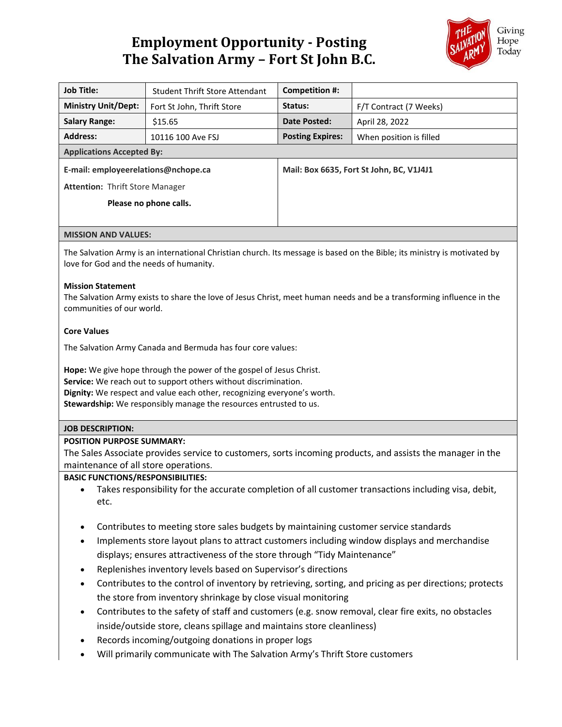# **Employment Opportunity - Posting The Salvation Army – Fort St John B.C.**



| <b>Job Title:</b>                      | <b>Student Thrift Store Attendant</b> | Competition #:                           |                         |
|----------------------------------------|---------------------------------------|------------------------------------------|-------------------------|
| <b>Ministry Unit/Dept:</b>             | Fort St John, Thrift Store            | Status:                                  | F/T Contract (7 Weeks)  |
| <b>Salary Range:</b>                   | \$15.65                               | Date Posted:                             | April 28, 2022          |
| <b>Address:</b>                        | 10116 100 Ave FSJ                     | <b>Posting Expires:</b>                  | When position is filled |
| <b>Applications Accepted By:</b>       |                                       |                                          |                         |
| E-mail: employeerelations@nchope.ca    |                                       | Mail: Box 6635, Fort St John, BC, V1J4J1 |                         |
| <b>Attention: Thrift Store Manager</b> |                                       |                                          |                         |
| Please no phone calls.                 |                                       |                                          |                         |
|                                        |                                       |                                          |                         |
| <b>MISSION AND VALUES:</b>             |                                       |                                          |                         |
|                                        |                                       |                                          |                         |

The Salvation Army is an international Christian church. Its message is based on the Bible; its ministry is motivated by love for God and the needs of humanity.

## **Mission Statement**

The Salvation Army exists to share the love of Jesus Christ, meet human needs and be a transforming influence in the communities of our world.

#### **Core Values**

The Salvation Army Canada and Bermuda has four core values:

**Hope:** We give hope through the power of the gospel of Jesus Christ. **Service:** We reach out to support others without discrimination. **Dignity:** We respect and value each other, recognizing everyone's worth. **Stewardship:** We responsibly manage the resources entrusted to us.

# **JOB DESCRIPTION:**

#### **POSITION PURPOSE SUMMARY:**

The Sales Associate provides service to customers, sorts incoming products, and assists the manager in the maintenance of all store operations.

#### **BASIC FUNCTIONS/RESPONSIBILITIES:**

- Takes responsibility for the accurate completion of all customer transactions including visa, debit, etc.
- Contributes to meeting store sales budgets by maintaining customer service standards
- Implements store layout plans to attract customers including window displays and merchandise displays; ensures attractiveness of the store through "Tidy Maintenance"
- Replenishes inventory levels based on Supervisor's directions
- Contributes to the control of inventory by retrieving, sorting, and pricing as per directions; protects the store from inventory shrinkage by close visual monitoring
- Contributes to the safety of staff and customers (e.g. snow removal, clear fire exits, no obstacles inside/outside store, cleans spillage and maintains store cleanliness)
- Records incoming/outgoing donations in proper logs
- Will primarily communicate with The Salvation Army's Thrift Store customers